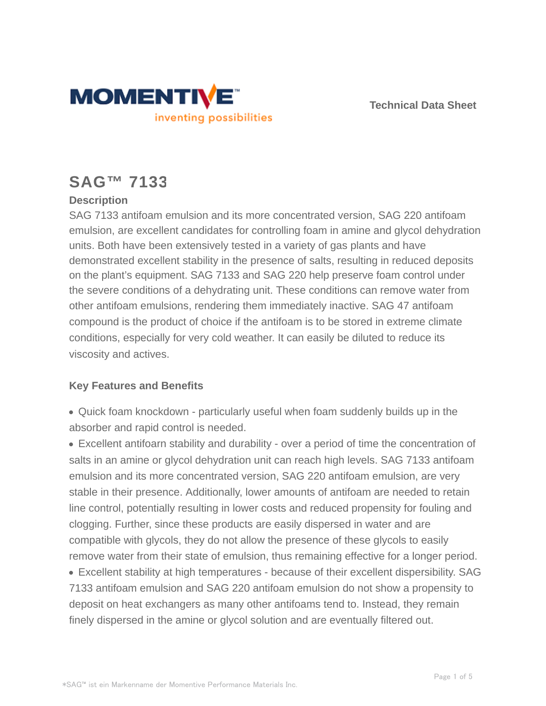



# **SAG™ 7133**

## **Description**

SAG 7133 antifoam emulsion and its more concentrated version, SAG 220 antifoam emulsion, are excellent candidates for controlling foam in amine and glycol dehydration units. Both have been extensively tested in a variety of gas plants and have demonstrated excellent stability in the presence of salts, resulting in reduced deposits on the plant's equipment. SAG 7133 and SAG 220 help preserve foam control under the severe conditions of a dehydrating unit. These conditions can remove water from other antifoam emulsions, rendering them immediately inactive. SAG 47 antifoam compound is the product of choice if the antifoam is to be stored in extreme climate conditions, especially for very cold weather. It can easily be diluted to reduce its viscosity and actives.

### **Key Features and Benefits**

Quick foam knockdown - particularly useful when foam suddenly builds up in the absorber and rapid control is needed.

Excellent antifoarn stability and durability - over a period of time the concentration of salts in an amine or glycol dehydration unit can reach high levels. SAG 7133 antifoam emulsion and its more concentrated version, SAG 220 antifoam emulsion, are very stable in their presence. Additionally, lower amounts of antifoam are needed to retain line control, potentially resulting in lower costs and reduced propensity for fouling and clogging. Further, since these products are easily dispersed in water and are compatible with glycols, they do not allow the presence of these glycols to easily remove water from their state of emulsion, thus remaining effective for a longer period. Excellent stability at high temperatures - because of their excellent dispersibility. SAG 7133 antifoam emulsion and SAG 220 antifoam emulsion do not show a propensity to deposit on heat exchangers as many other antifoams tend to. Instead, they remain finely dispersed in the amine or glycol solution and are eventually filtered out.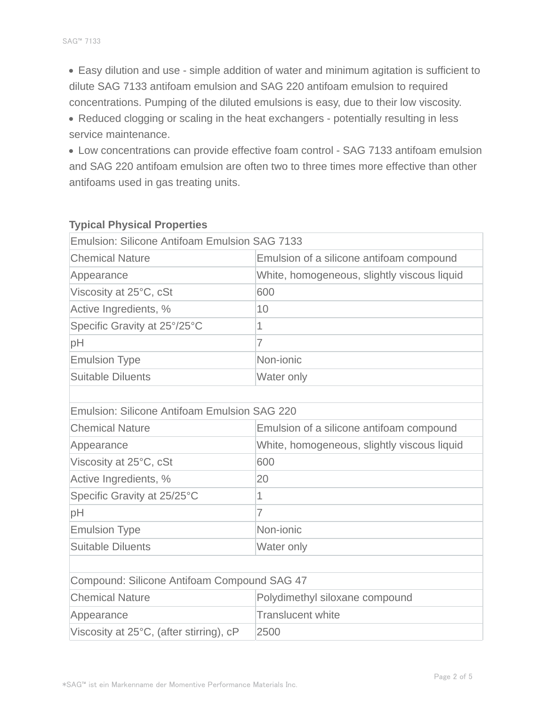Easy dilution and use - simple addition of water and minimum agitation is sufficient to dilute SAG 7133 antifoam emulsion and SAG 220 antifoam emulsion to required concentrations. Pumping of the diluted emulsions is easy, due to their low viscosity.

Reduced clogging or scaling in the heat exchangers - potentially resulting in less service maintenance.

Low concentrations can provide effective foam control - SAG 7133 antifoam emulsion and SAG 220 antifoam emulsion are often two to three times more effective than other antifoams used in gas treating units.

| <b>Emulsion: Silicone Antifoam Emulsion SAG 7133</b> |                                             |  |  |  |
|------------------------------------------------------|---------------------------------------------|--|--|--|
| <b>Chemical Nature</b>                               | Emulsion of a silicone antifoam compound    |  |  |  |
| Appearance                                           | White, homogeneous, slightly viscous liquid |  |  |  |
| Viscosity at 25°C, cSt                               | 600                                         |  |  |  |
| Active Ingredients, %                                | 10                                          |  |  |  |
| Specific Gravity at 25°/25°C                         | 1                                           |  |  |  |
| pH                                                   | $\overline{7}$                              |  |  |  |
| <b>Emulsion Type</b>                                 | Non-jonic                                   |  |  |  |
| <b>Suitable Diluents</b>                             | Water only                                  |  |  |  |
|                                                      |                                             |  |  |  |
| <b>Emulsion: Silicone Antifoam Emulsion SAG 220</b>  |                                             |  |  |  |
| <b>Chemical Nature</b>                               | Emulsion of a silicone antifoam compound    |  |  |  |
| Appearance                                           | White, homogeneous, slightly viscous liquid |  |  |  |
| Viscosity at 25°C, cSt                               | 600                                         |  |  |  |
| Active Ingredients, %                                | 20                                          |  |  |  |
| Specific Gravity at 25/25°C                          | 1                                           |  |  |  |
| pH                                                   | $\overline{7}$                              |  |  |  |
| <b>Emulsion Type</b>                                 | Non-jonic                                   |  |  |  |
| <b>Suitable Diluents</b>                             | Water only                                  |  |  |  |
|                                                      |                                             |  |  |  |
| Compound: Silicone Antifoam Compound SAG 47          |                                             |  |  |  |
| <b>Chemical Nature</b>                               | Polydimethyl siloxane compound              |  |  |  |
| Appearance                                           | <b>Translucent white</b>                    |  |  |  |
| Viscosity at 25°C, (after stirring), cP              | 2500                                        |  |  |  |
|                                                      |                                             |  |  |  |

#### **Typical Physical Properties**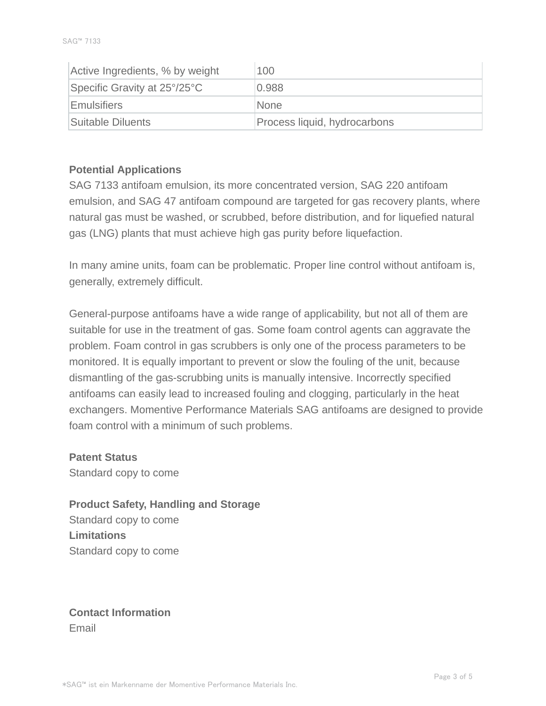| Active Ingredients, % by weight | 100                          |
|---------------------------------|------------------------------|
| Specific Gravity at 25°/25°C    | 0.988                        |
| Emulsifiers                     | <b>None</b>                  |
| Suitable Diluents               | Process liquid, hydrocarbons |

#### **Potential Applications**

SAG 7133 antifoam emulsion, its more concentrated version, SAG 220 antifoam emulsion, and SAG 47 antifoam compound are targeted for gas recovery plants, where natural gas must be washed, or scrubbed, before distribution, and for liquefied natural gas (LNG) plants that must achieve high gas purity before liquefaction.

In many amine units, foam can be problematic. Proper line control without antifoam is, generally, extremely difficult.

General-purpose antifoams have a wide range of applicability, but not all of them are suitable for use in the treatment of gas. Some foam control agents can aggravate the problem. Foam control in gas scrubbers is only one of the process parameters to be monitored. It is equally important to prevent or slow the fouling of the unit, because dismantling of the gas-scrubbing units is manually intensive. Incorrectly specified antifoams can easily lead to increased fouling and clogging, particularly in the heat exchangers. Momentive Performance Materials SAG antifoams are designed to provide foam control with a minimum of such problems.

**Patent Status** Standard copy to come

**Product Safety, Handling and Storage** Standard copy to come **Limitations** Standard copy to come

**Contact Information** Email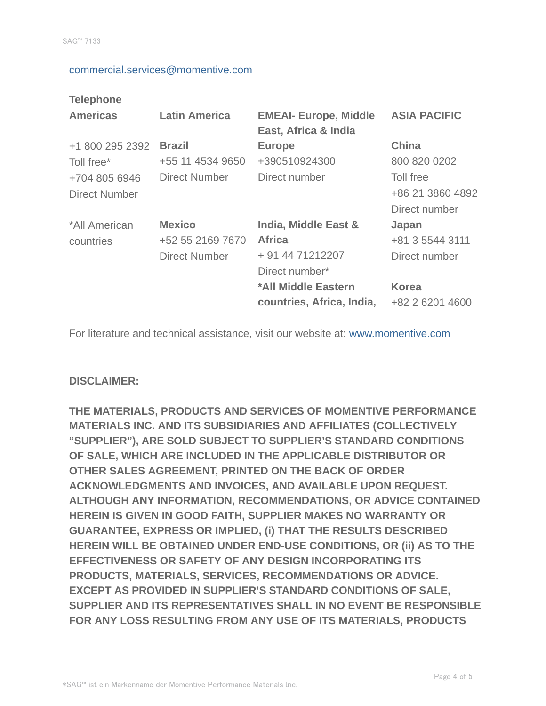#### commercial.services@momentive.com

#### **Telephone**

| <b>Americas</b>                       | <b>Latin America</b>                                      | <b>EMEAI- Europe, Middle</b><br>East, Africa & India                        | <b>ASIA PACIFIC</b>                            |
|---------------------------------------|-----------------------------------------------------------|-----------------------------------------------------------------------------|------------------------------------------------|
| +1 800 295 2392<br>Toll free*         | <b>Brazil</b><br>+55 11 4534 9650                         | <b>Europe</b><br>+390510924300                                              | <b>China</b><br>800 820 0202                   |
| +704 805 6946<br><b>Direct Number</b> | <b>Direct Number</b>                                      | Direct number                                                               | Toll free<br>+86 21 3860 4892<br>Direct number |
| *All American<br>countries            | <b>Mexico</b><br>+52 55 2169 7670<br><b>Direct Number</b> | India, Middle East &<br><b>Africa</b><br>+ 91 44 71212207<br>Direct number* | Japan<br>+81 3 5544 3111<br>Direct number      |
|                                       |                                                           | *All Middle Eastern<br>countries, Africa, India,                            | <b>Korea</b><br>+82 2 6201 4600                |

For literature and technical assistance, visit our website at: www.momentive.com

#### **DISCLAIMER:**

**THE MATERIALS, PRODUCTS AND SERVICES OF MOMENTIVE PERFORMANCE MATERIALS INC. AND ITS SUBSIDIARIES AND AFFILIATES (COLLECTIVELY "SUPPLIER"), ARE SOLD SUBJECT TO SUPPLIER'S STANDARD CONDITIONS OF SALE, WHICH ARE INCLUDED IN THE APPLICABLE DISTRIBUTOR OR OTHER SALES AGREEMENT, PRINTED ON THE BACK OF ORDER ACKNOWLEDGMENTS AND INVOICES, AND AVAILABLE UPON REQUEST. ALTHOUGH ANY INFORMATION, RECOMMENDATIONS, OR ADVICE CONTAINED HEREIN IS GIVEN IN GOOD FAITH, SUPPLIER MAKES NO WARRANTY OR GUARANTEE, EXPRESS OR IMPLIED, (i) THAT THE RESULTS DESCRIBED HEREIN WILL BE OBTAINED UNDER END-USE CONDITIONS, OR (ii) AS TO THE EFFECTIVENESS OR SAFETY OF ANY DESIGN INCORPORATING ITS PRODUCTS, MATERIALS, SERVICES, RECOMMENDATIONS OR ADVICE. EXCEPT AS PROVIDED IN SUPPLIER'S STANDARD CONDITIONS OF SALE, SUPPLIER AND ITS REPRESENTATIVES SHALL IN NO EVENT BE RESPONSIBLE FOR ANY LOSS RESULTING FROM ANY USE OF ITS MATERIALS, PRODUCTS**